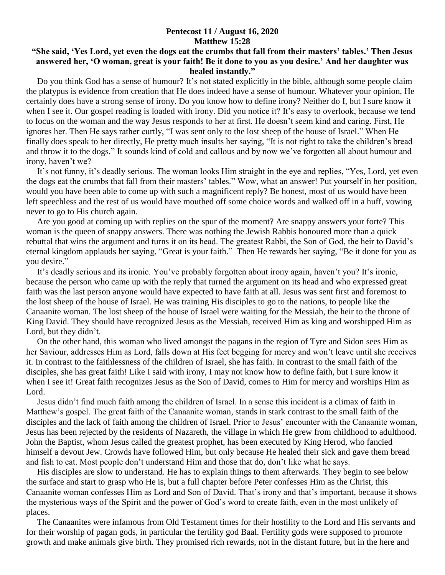## **Pentecost 11 / August 16, 2020 Matthew 15:28**

## **"She said, 'Yes Lord, yet even the dogs eat the crumbs that fall from their masters' tables.' Then Jesus answered her, 'O woman, great is your faith! Be it done to you as you desire.' And her daughter was healed instantly."**

 Do you think God has a sense of humour? It's not stated explicitly in the bible, although some people claim the platypus is evidence from creation that He does indeed have a sense of humour. Whatever your opinion, He certainly does have a strong sense of irony. Do you know how to define irony? Neither do I, but I sure know it when I see it. Our gospel reading is loaded with irony. Did you notice it? It's easy to overlook, because we tend to focus on the woman and the way Jesus responds to her at first. He doesn't seem kind and caring. First, He ignores her. Then He says rather curtly, "I was sent only to the lost sheep of the house of Israel." When He finally does speak to her directly, He pretty much insults her saying, "It is not right to take the children's bread and throw it to the dogs." It sounds kind of cold and callous and by now we've forgotten all about humour and irony, haven't we?

 It's not funny, it's deadly serious. The woman looks Him straight in the eye and replies, "Yes, Lord, yet even the dogs eat the crumbs that fall from their masters' tables." Wow, what an answer! Put yourself in her position, would you have been able to come up with such a magnificent reply? Be honest, most of us would have been left speechless and the rest of us would have mouthed off some choice words and walked off in a huff, vowing never to go to His church again.

 Are you good at coming up with replies on the spur of the moment? Are snappy answers your forte? This woman is the queen of snappy answers. There was nothing the Jewish Rabbis honoured more than a quick rebuttal that wins the argument and turns it on its head. The greatest Rabbi, the Son of God, the heir to David's eternal kingdom applauds her saying, "Great is your faith." Then He rewards her saying, "Be it done for you as you desire."

 It's deadly serious and its ironic. You've probably forgotten about irony again, haven't you? It's ironic, because the person who came up with the reply that turned the argument on its head and who expressed great faith was the last person anyone would have expected to have faith at all. Jesus was sent first and foremost to the lost sheep of the house of Israel. He was training His disciples to go to the nations, to people like the Canaanite woman. The lost sheep of the house of Israel were waiting for the Messiah, the heir to the throne of King David. They should have recognized Jesus as the Messiah, received Him as king and worshipped Him as Lord, but they didn't.

 On the other hand, this woman who lived amongst the pagans in the region of Tyre and Sidon sees Him as her Saviour, addresses Him as Lord, falls down at His feet begging for mercy and won't leave until she receives it. In contrast to the faithlessness of the children of Israel, she has faith. In contrast to the small faith of the disciples, she has great faith! Like I said with irony, I may not know how to define faith, but I sure know it when I see it! Great faith recognizes Jesus as the Son of David, comes to Him for mercy and worships Him as Lord.

 Jesus didn't find much faith among the children of Israel. In a sense this incident is a climax of faith in Matthew's gospel. The great faith of the Canaanite woman, stands in stark contrast to the small faith of the disciples and the lack of faith among the children of Israel. Prior to Jesus' encounter with the Canaanite woman, Jesus has been rejected by the residents of Nazareth, the village in which He grew from childhood to adulthood. John the Baptist, whom Jesus called the greatest prophet, has been executed by King Herod, who fancied himself a devout Jew. Crowds have followed Him, but only because He healed their sick and gave them bread and fish to eat. Most people don't understand Him and those that do, don't like what he says.

 His disciples are slow to understand. He has to explain things to them afterwards. They begin to see below the surface and start to grasp who He is, but a full chapter before Peter confesses Him as the Christ, this Canaanite woman confesses Him as Lord and Son of David. That's irony and that's important, because it shows the mysterious ways of the Spirit and the power of God's word to create faith, even in the most unlikely of places.

 The Canaanites were infamous from Old Testament times for their hostility to the Lord and His servants and for their worship of pagan gods, in particular the fertility god Baal. Fertility gods were supposed to promote growth and make animals give birth. They promised rich rewards, not in the distant future, but in the here and